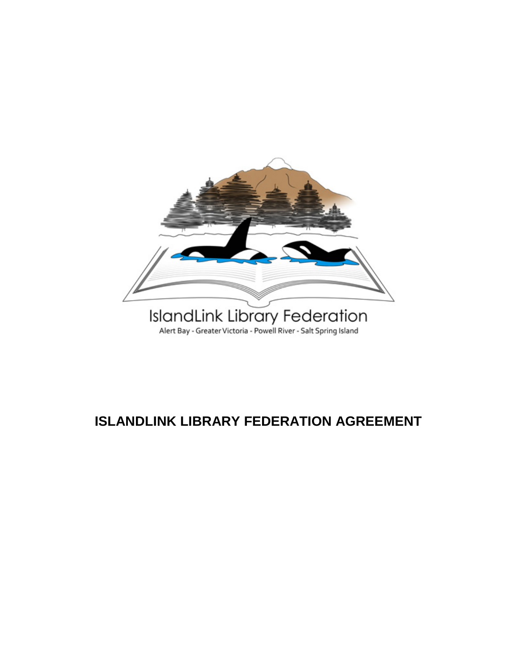

# **ISLANDLINK LIBRARY FEDERATION AGREEMENT**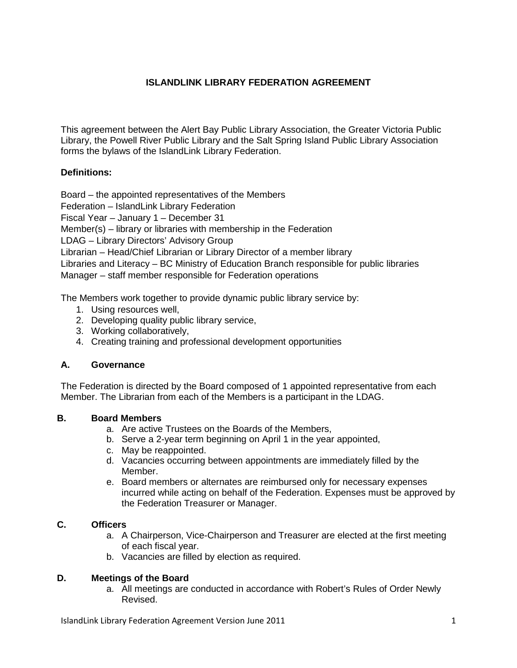#### **ISLANDLINK LIBRARY FEDERATION AGREEMENT**

This agreement between the Alert Bay Public Library Association, the Greater Victoria Public Library, the Powell River Public Library and the Salt Spring Island Public Library Association forms the bylaws of the IslandLink Library Federation.

#### **Definitions:**

Board – the appointed representatives of the Members

Federation – IslandLink Library Federation

Fiscal Year – January 1 – December 31

Member(s) – library or libraries with membership in the Federation

LDAG – Library Directors' Advisory Group

Librarian – Head/Chief Librarian or Library Director of a member library

Libraries and Literacy – BC Ministry of Education Branch responsible for public libraries Manager – staff member responsible for Federation operations

The Members work together to provide dynamic public library service by:

- 1. Using resources well,
- 2. Developing quality public library service,
- 3. Working collaboratively,
- 4. Creating training and professional development opportunities

#### **A. Governance**

The Federation is directed by the Board composed of 1 appointed representative from each Member. The Librarian from each of the Members is a participant in the LDAG.

#### **B. Board Members**

- a. Are active Trustees on the Boards of the Members,
- b. Serve a 2-year term beginning on April 1 in the year appointed,
- c. May be reappointed.
- d. Vacancies occurring between appointments are immediately filled by the Member.
- e. Board members or alternates are reimbursed only for necessary expenses incurred while acting on behalf of the Federation. Expenses must be approved by the Federation Treasurer or Manager.

#### **C. Officers**

- a. A Chairperson, Vice-Chairperson and Treasurer are elected at the first meeting of each fiscal year.
- b. Vacancies are filled by election as required.

#### **D. Meetings of the Board**

a. All meetings are conducted in accordance with Robert's Rules of Order Newly Revised.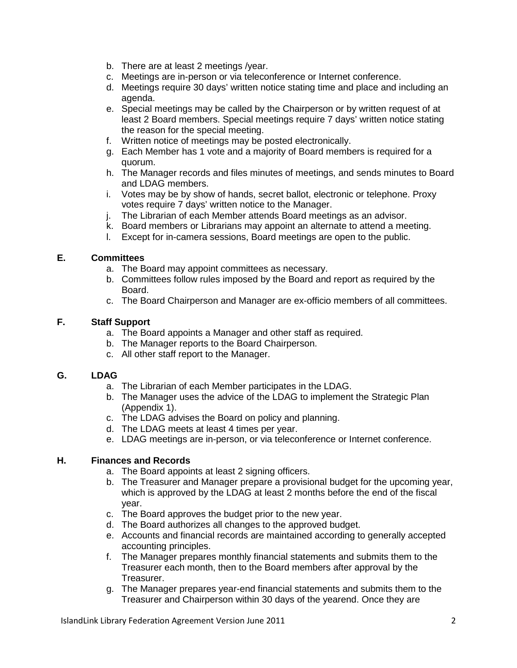- b. There are at least 2 meetings /year.
- c. Meetings are in-person or via teleconference or Internet conference.
- d. Meetings require 30 days' written notice stating time and place and including an agenda.
- e. Special meetings may be called by the Chairperson or by written request of at least 2 Board members. Special meetings require 7 days' written notice stating the reason for the special meeting.
- f. Written notice of meetings may be posted electronically.
- g. Each Member has 1 vote and a majority of Board members is required for a quorum.
- h. The Manager records and files minutes of meetings, and sends minutes to Board and LDAG members.
- i. Votes may be by show of hands, secret ballot, electronic or telephone. Proxy votes require 7 days' written notice to the Manager.
- j. The Librarian of each Member attends Board meetings as an advisor.
- k. Board members or Librarians may appoint an alternate to attend a meeting.
- l. Except for in-camera sessions, Board meetings are open to the public.

#### **E. Committees**

- a. The Board may appoint committees as necessary.
- b. Committees follow rules imposed by the Board and report as required by the Board.
- c. The Board Chairperson and Manager are ex-officio members of all committees.

#### **F. Staff Support**

- a. The Board appoints a Manager and other staff as required.
- b. The Manager reports to the Board Chairperson.
- c. All other staff report to the Manager.

#### **G. LDAG**

- a. The Librarian of each Member participates in the LDAG.
- b. The Manager uses the advice of the LDAG to implement the Strategic Plan (Appendix 1).
- c. The LDAG advises the Board on policy and planning.
- d. The LDAG meets at least 4 times per year.
- e. LDAG meetings are in-person, or via teleconference or Internet conference.

#### **H. Finances and Records**

a. The Board appoints at least 2 signing officers.

- b. The Treasurer and Manager prepare a provisional budget for the upcoming year, which is approved by the LDAG at least 2 months before the end of the fiscal year.
- c. The Board approves the budget prior to the new year.
- d. The Board authorizes all changes to the approved budget.
- e. Accounts and financial records are maintained according to generally accepted accounting principles.
- f. The Manager prepares monthly financial statements and submits them to the Treasurer each month, then to the Board members after approval by the Treasurer.
- g. The Manager prepares year-end financial statements and submits them to the Treasurer and Chairperson within 30 days of the yearend. Once they are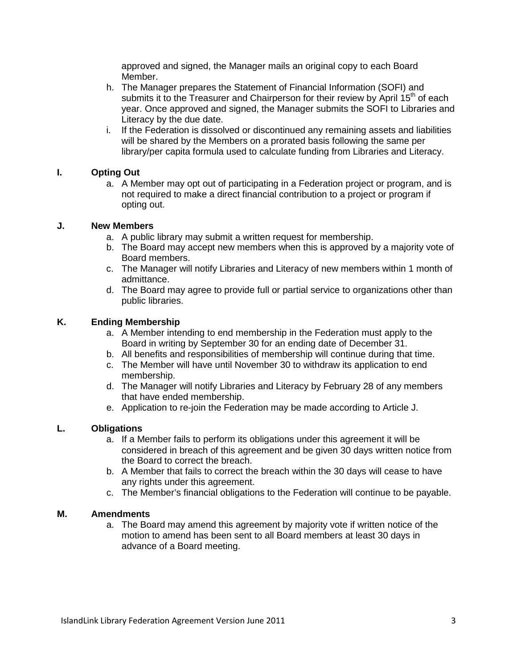approved and signed, the Manager mails an original copy to each Board Member.

- h. The Manager prepares the Statement of Financial Information (SOFI) and submits it to the Treasurer and Chairperson for their review by April 15<sup>th</sup> of each year. Once approved and signed, the Manager submits the SOFI to Libraries and Literacy by the due date.
- i. If the Federation is dissolved or discontinued any remaining assets and liabilities will be shared by the Members on a prorated basis following the same per library/per capita formula used to calculate funding from Libraries and Literacy.

#### **I. Opting Out**

a. A Member may opt out of participating in a Federation project or program, and is not required to make a direct financial contribution to a project or program if opting out.

#### **J. New Members**

- a. A public library may submit a written request for membership.
- b. The Board may accept new members when this is approved by a majority vote of Board members.
- c. The Manager will notify Libraries and Literacy of new members within 1 month of admittance.
- d. The Board may agree to provide full or partial service to organizations other than public libraries.

#### **K. Ending Membership**

- a. A Member intending to end membership in the Federation must apply to the Board in writing by September 30 for an ending date of December 31.
- b. All benefits and responsibilities of membership will continue during that time.
- c. The Member will have until November 30 to withdraw its application to end membership.
- d. The Manager will notify Libraries and Literacy by February 28 of any members that have ended membership.
- e. Application to re-join the Federation may be made according to Article J.

### **L. Obligations**

- a. If a Member fails to perform its obligations under this agreement it will be considered in breach of this agreement and be given 30 days written notice from the Board to correct the breach.
- b. A Member that fails to correct the breach within the 30 days will cease to have any rights under this agreement.
- c. The Member's financial obligations to the Federation will continue to be payable.

#### **M. Amendments**

a. The Board may amend this agreement by majority vote if written notice of the motion to amend has been sent to all Board members at least 30 days in advance of a Board meeting.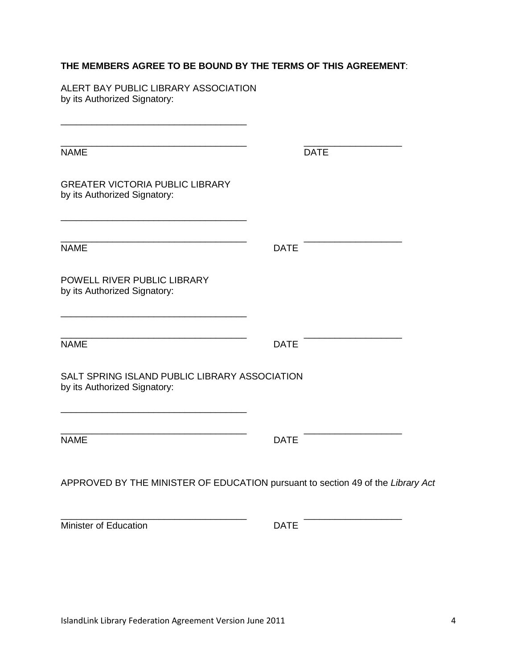### **THE MEMBERS AGREE TO BE BOUND BY THE TERMS OF THIS AGREEMENT**:

ALERT BAY PUBLIC LIBRARY ASSOCIATION by its Authorized Signatory:

| <b>NAME</b>                                                                     | <b>DATE</b> |  |
|---------------------------------------------------------------------------------|-------------|--|
| <b>GREATER VICTORIA PUBLIC LIBRARY</b><br>by its Authorized Signatory:          |             |  |
| <b>NAME</b>                                                                     | <b>DATE</b> |  |
| POWELL RIVER PUBLIC LIBRARY<br>by its Authorized Signatory:                     |             |  |
| <b>NAME</b>                                                                     | <b>DATE</b> |  |
| SALT SPRING ISLAND PUBLIC LIBRARY ASSOCIATION<br>by its Authorized Signatory:   |             |  |
| <b>NAME</b>                                                                     | <b>DATE</b> |  |
| APPROVED BY THE MINISTER OF EDUCATION pursuant to section 49 of the Library Act |             |  |

\_\_\_\_\_\_\_\_\_\_\_\_\_\_\_\_\_\_\_\_\_\_\_\_\_\_\_\_\_\_\_\_\_\_\_\_ \_\_\_\_\_\_\_\_\_\_\_\_\_\_\_\_\_\_\_

Minister of Education DATE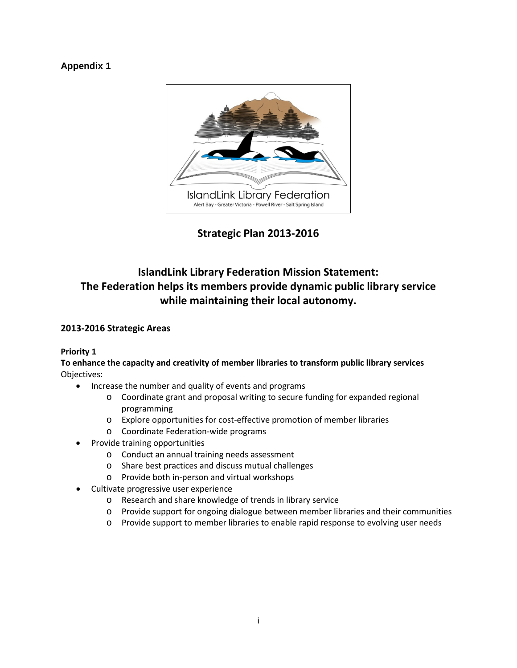### **Appendix 1**



**Strategic Plan 2013-2016**

## **IslandLink Library Federation Mission Statement: The Federation helps its members provide dynamic public library service while maintaining their local autonomy.**

#### **2013-2016 Strategic Areas**

#### **Priority 1**

**To enhance the capacity and creativity of member libraries to transform public library services** Objectives:

- Increase the number and quality of events and programs
	- o Coordinate grant and proposal writing to secure funding for expanded regional programming
	- o Explore opportunities for cost-effective promotion of member libraries
	- o Coordinate Federation-wide programs
- Provide training opportunities
	- o Conduct an annual training needs assessment
	- o Share best practices and discuss mutual challenges
	- o Provide both in-person and virtual workshops
- Cultivate progressive user experience
	- o Research and share knowledge of trends in library service
	- o Provide support for ongoing dialogue between member libraries and their communities
	- o Provide support to member libraries to enable rapid response to evolving user needs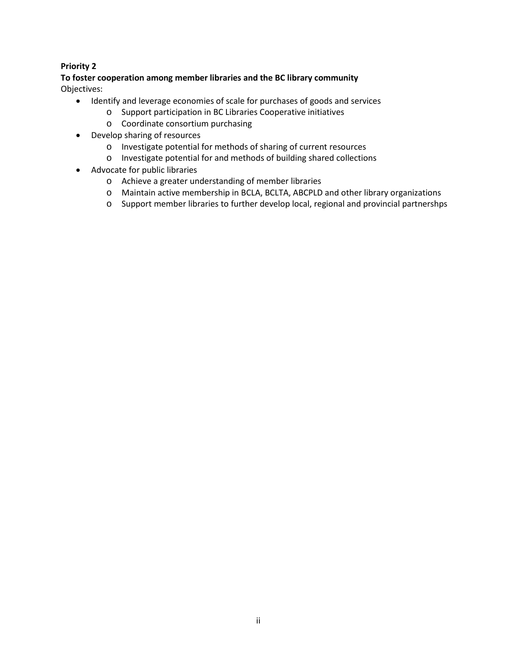#### **Priority 2**

**To foster cooperation among member libraries and the BC library community** Objectives:

- Identify and leverage economies of scale for purchases of goods and services
	- o Support participation in BC Libraries Cooperative initiatives
	- o Coordinate consortium purchasing
- Develop sharing of resources
	- o Investigate potential for methods of sharing of current resources
	- o Investigate potential for and methods of building shared collections
- Advocate for public libraries
	- o Achieve a greater understanding of member libraries
	- o Maintain active membership in BCLA, BCLTA, ABCPLD and other library organizations
	- o Support member libraries to further develop local, regional and provincial partnershps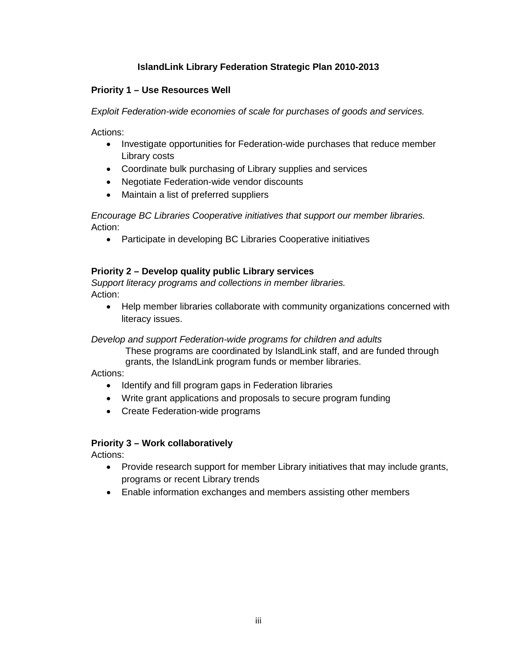### **IslandLink Library Federation Strategic Plan 2010-2013**

#### **Priority 1 – Use Resources Well**

*Exploit Federation-wide economies of scale for purchases of goods and services.*

Actions:

- Investigate opportunities for Federation-wide purchases that reduce member Library costs
- Coordinate bulk purchasing of Library supplies and services
- Negotiate Federation-wide vendor discounts
- Maintain a list of preferred suppliers

*Encourage BC Libraries Cooperative initiatives that support our member libraries.* Action:

• Participate in developing BC Libraries Cooperative initiatives

#### **Priority 2 – Develop quality public Library services**

*Support literacy programs and collections in member libraries.* Action:

• Help member libraries collaborate with community organizations concerned with literacy issues.

#### *Develop and support Federation-wide programs for children and adults*

These programs are coordinated by IslandLink staff, and are funded through grants, the IslandLink program funds or member libraries.

Actions:

- Identify and fill program gaps in Federation libraries
- Write grant applications and proposals to secure program funding
- Create Federation-wide programs

#### **Priority 3 – Work collaboratively**

Actions:

- Provide research support for member Library initiatives that may include grants, programs or recent Library trends
- Enable information exchanges and members assisting other members